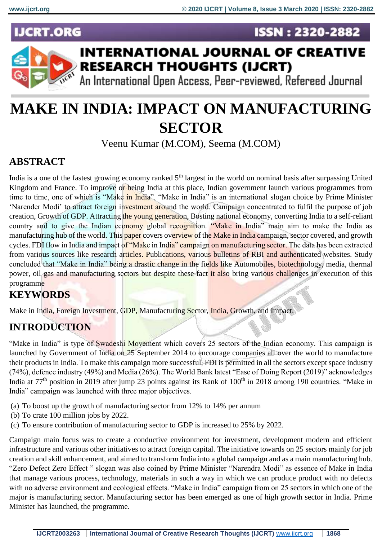**ISSN: 2320-2882** 

### **JCRT.ORG**



## **INTERNATIONAL JOURNAL OF CREATIVE RESEARCH THOUGHTS (IJCRT)**

An International Open Access, Peer-reviewed, Refereed Journal

# **MAKE IN INDIA: IMPACT ON MANUFACTURING SECTOR**

Veenu Kumar (M.COM), Seema (M.COM)

#### **ABSTRACT**

India is a one of the fastest growing economy ranked  $5<sup>th</sup>$  largest in the world on nominal basis after surpassing United Kingdom and France. To improve or being India at this place, Indian government launch various programmes from time to time, one of which is "Make in India". "Make in India" is an international slogan choice by Prime Minister 'Narender Modi' to attract foreign investment around the world. Campaign concentrated to fulfil the purpose of job creation, Growth of GDP. Attracting the young generation, Bosting national economy, converting India to a self-reliant country and to give the Indian economy global recognition. "Make in India" main aim to make the India as manufacturing hub of the world. This paper covers overview of the Make in India campaign, sector covered, and growth cycles. FDI flow in India and impact of "Make in India" campaign on manufacturing sector. The data has been extracted from various sources like research articles. Publications, various bulletins of RBI and authenticated websites. Study concluded that "Make in India" being a drastic change in the fields like Automobiles, biotechnology, media, thermal power, oil gas and manufacturing sectors but despite these fact it also bring various challenges in execution of this programme

#### **KEYWORDS**

Make in India, Foreign Investment, GDP, Manufacturing Sector, India, Growth, and Impact.

#### **INTRODUCTION**

"Make in India" is type of Swadeshi Movement which covers 25 sectors of the Indian economy. This campaign is launched by Government of India on 25 September 2014 to encourage companies all over the world to manufacture their products in India. To make this campaign more successful, FDI is permitted in all the sectors except space industry (74%), defence industry (49%) and Media (26%). The World Bank latest "Ease of Doing Report (2019)" acknowledges India at  $77<sup>th</sup>$  position in 2019 after jump 23 points against its Rank of  $100<sup>th</sup>$  in 2018 among 190 countries. "Make in India" campaign was launched with three major objectives.

- (a) To boost up the growth of manufacturing sector from 12% to 14% per annum
- (b) To crate 100 million jobs by 2022.
- (c) To ensure contribution of manufacturing sector to GDP is increased to 25% by 2022.

Campaign main focus was to create a conductive environment for investment, development modern and efficient infrastructure and various other initiatives to attract foreign capital. The initiative towards on 25 sectors mainly for job creation and skill enhancement, and aimed to transform India into a global campaign and as a main manufacturing hub. "Zero Defect Zero Effect " slogan was also coined by Prime Minister "Narendra Modi" as essence of Make in India that manage various process, technology, materials in such a way in which we can produce product with no defects with no adverse environment and ecological effects. "Make in India" campaign from on 25 sectors in which one of the major is manufacturing sector. Manufacturing sector has been emerged as one of high growth sector in India. Prime Minister has launched, the programme.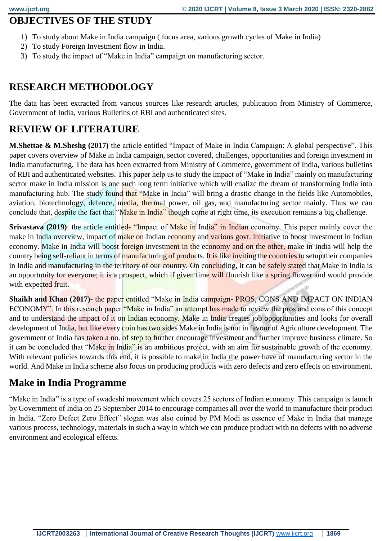#### **OBJECTIVES OF THE STUDY**

- 1) To study about Make in India campaign ( focus area, various growth cycles of Make in India)
- 2) To study Foreign Investment flow in India.
- 3) To study the impact of "Make in India" campaign on manufacturing sector.

#### **RESEARCH METHODOLOGY**

The data has been extracted from various sources like research articles, publication from Ministry of Commerce, Government of India, various Bulletins of RBI and authenticated sites.

#### **REVIEW OF LITERATURE**

**M.Shettae & M.Sheshg (2017)** the article entitled "Impact of Make in India Campaign: A global perspective". This paper covers overview of Make in India campaign, sector covered, challenges, opportunities and foreign investment in India manufacturing. The data has been extracted from Ministry of Commerce, government of India, various bulletins of RBI and authenticated websites. This paper help us to study the impact of "Make in India" mainly on manufacturing sector make in India mission is one such long term initiative which will enalize the dream of transforming India into manufacturing hub. The study found that "Make in India" will bring a drastic change in the fields like Automobiles, aviation, biotechnology, defence, media, thermal power, oil gas, and manufacturing sector mainly. Thus we can conclude that, despite the fact that "Make in India" though come at right time, its execution remains a big challenge.

**Srivastava (2019)**: the article entitled- "Impact of Make in India" in Indian economy. This paper mainly cover the make in India overview, impact of make on Indian economy and various govt. initiative to boost investment in Indian economy. Make in India will boost foreign investment in the economy and on the other, make in India will help the country being self-reliant in terms of manufacturing of products. It is like inviting the countries to setup their companies in India and manufacturing in the territory of our country. On concluding, it can be safely stated that Make in India is an opportunity for everyone; it is a prospect, which if given time will flourish like a spring flower and would provide with expected fruit.

**Shaikh and Khan (2017)**- the paper entitled "Make in India campaign- PROS, CONS AND IMPACT ON INDIAN ECONOMY". In this research paper "Make in India" an attempt has made to review the pros and cons of this concept and to understand the impact of it on Indian economy. Make in India creates job opportunities and looks for overall development of India, but like every coin has two sides Make in India is not in favour of Agriculture development. The government of India has taken a no. of step to further encourage investment and further improve business climate. So it can be concluded that "Make in India" is an ambitious project, with an aim for sustainable growth of the economy. With relevant policies towards this end, it is possible to make in India the power have of manufacturing sector in the world. And Make in India scheme also focus on producing products with zero defects and zero effects on environment.

#### **Make in India Programme**

"Make in India" is a type of swadeshi movement which covers 25 sectors of Indian economy. This campaign is launch by Government of India on 25 September 2014 to encourage companies all over the world to manufacture their product in India. "Zero Defect Zero Effect" slogan was also coined by PM Modi as essence of Make in India that manage various process, technology, materials in such a way in which we can produce product with no defects with no adverse environment and ecological effects.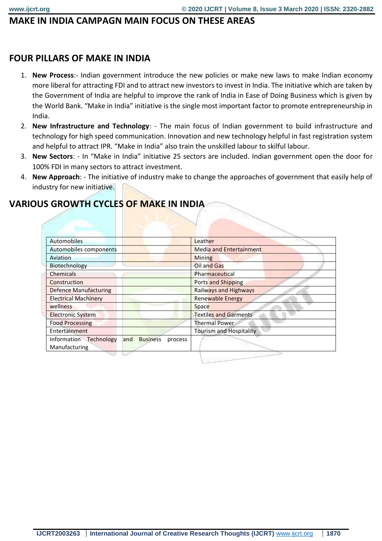#### **MAKE IN INDIA CAMPAGN MAIN FOCUS ON THESE AREAS**

#### **FOUR PILLARS OF MAKE IN INDIA**

- 1. **New Process**:- Indian government introduce the new policies or make new laws to make Indian economy more liberal for attracting FDI and to attract new investors to invest in India. The initiative which are taken by the Government of India are helpful to improve the rank of India in Ease of Doing Business which is given by the World Bank. "Make in India" initiative is the single most important factor to promote entrepreneurship in India.
- 2. **New Infrastructure and Technology**: The main focus of Indian government to build infrastructure and technology for high speed communication. Innovation and new technology helpful in fast registration system and helpful to attract IPR. "Make in India" also train the unskilled labour to skilful labour.
- 3. **New Sectors**: In "Make in India" initiative 25 sectors are included. Indian government open the door for 100% FDI in many sectors to attract investment.
- 4. **New Approach**: The initiative of industry make to change the approaches of government that easily help of industry for new initiative.

#### **VARIOUS GROWTH CYCLES OF MAKE IN INDIA**

| S GROW I FI CYCLES OF MAKE IN INDIA                         |                                |
|-------------------------------------------------------------|--------------------------------|
|                                                             |                                |
|                                                             |                                |
|                                                             |                                |
| Automobiles                                                 | Leather                        |
| Automobiles components                                      | Media and Entertainment        |
| Aviation                                                    | <b>Mining</b>                  |
| Biotechnology                                               | Oil and Gas                    |
| <b>Chemicals</b>                                            | Pharmaceutical                 |
| Construction                                                | <b>Ports and Shipping</b>      |
| <b>Defence Manufacturing</b>                                | <b>Railways and Highways</b>   |
| <b>Electrical Machinery</b>                                 | <b>Renewable Energy</b>        |
| wellness                                                    | Space                          |
| <b>Electronic System</b>                                    | <b>Textiles and Garments</b>   |
| <b>Food Processing</b>                                      | <b>Thermal Power</b>           |
| Entertainment                                               | <b>Tourism and Hospitality</b> |
| Information Technology<br>and<br><b>Business</b><br>process |                                |
| Manufacturing                                               |                                |
|                                                             |                                |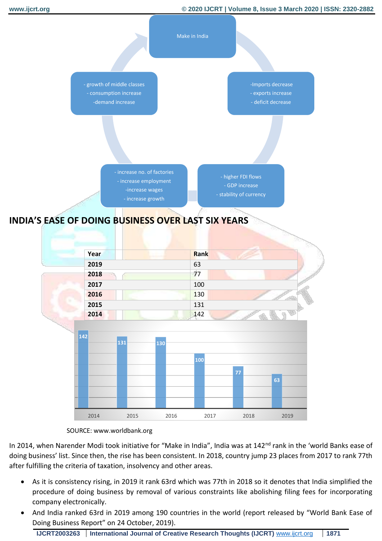

#### **INDIA'S EASE OF DOING BUSINESS OVER LAST SIX YEARS**

|      | <b>Contract Contract Contract</b> |  |
|------|-----------------------------------|--|
| Year | Rank                              |  |
| 2019 | 63                                |  |
| 2018 | 77                                |  |
| 2017 | 100                               |  |
| 2016 | 130                               |  |
| 2015 | 131                               |  |
| 2014 | 142                               |  |





In 2014, when Narender Modi took initiative for "Make in India", India was at 142<sup>nd</sup> rank in the 'world Banks ease of doing business' list. Since then, the rise has been consistent. In 2018, country jump 23 places from 2017 to rank 77th after fulfilling the criteria of taxation, insolvency and other areas.

- As it is consistency rising, in 2019 it rank 63rd which was 77th in 2018 so it denotes that India simplified the procedure of doing business by removal of various constraints like abolishing filing fees for incorporating company electronically.
- And India ranked 63rd in 2019 among 190 countries in the world (report released by "World Bank Ease of Doing Business Report" on 24 October, 2019).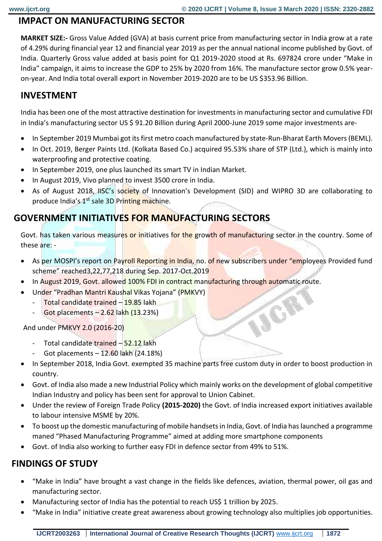**ACRE** 

#### **IMPACT ON MANUFACTURING SECTOR**

**MARKET SIZE:-** Gross Value Added (GVA) at basis current price from manufacturing sector in India grow at a rate of 4.29% during financial year 12 and financial year 2019 as per the annual national income published by Govt. of India. Quarterly Gross value added at basis point for Q1 2019-2020 stood at Rs. 697824 crore under "Make in India" campaign, it aims to increase the GDP to 25% by 2020 from 16%. The manufacture sector grow 0.5% yearon-year. And India total overall export in November 2019-2020 are to be US \$353.96 Billion.

#### **INVESTMENT**

India has been one of the most attractive destination for investments in manufacturing sector and cumulative FDI in India's manufacturing sector US \$ 91.20 Billion during April 2000-June 2019 some major investments are-

- In September 2019 Mumbai got its first metro coach manufactured by state-Run-Bharat Earth Movers (BEML).
- In Oct. 2019, Berger Paints Ltd. (Kolkata Based Co.) acquired 95.53% share of STP (Ltd.), which is mainly into waterproofing and protective coating.
- In September 2019, one plus launched its smart TV in Indian Market.
- In August 2019, Vivo planned to invest 3500 crore in India.
- As of August 2018, IISC's society of Innovation's Development (SID) and WIPRO 3D are collaborating to produce India's 1<sup>st</sup> sale 3D Printing machine.

#### **GOVERNMENT INITIATIVES FOR MANUFACTURING SECTORS**

Govt. has taken various measures or initiatives for the growth of manufacturing sector in the country. Some of these are: -

- As per MOSPI's report on Payroll Reporting in India, no. of new subscribers under "employees Provided fund scheme" reached3,22,77,218 during Sep. 2017-Oct.2019
- In August 2019, Govt. allowed 100% FDI in contract manufacturing through automatic route.
- Under "Pradhan Mantri Kaushal Vikas Yojana" (PMKVY)
	- Total candidate trained 19.85 lakh
	- $-$  Got placements  $-2.62$  lakh  $(13.23%)$

And under PMKVY 2.0 (2016-20)

- Total candidate trained 52.12 lakh
- Got placements 12.60 lakh (24.18%)
- In September 2018, India Govt. exempted 35 machine parts free custom duty in order to boost production in country.
- Govt. of India also made a new Industrial Policy which mainly works on the development of global competitive Indian Industry and policy has been sent for approval to Union Cabinet.
- Under the review of Foreign Trade Policy **(2015-2020)** the Govt. of India increased export initiatives available to labour intensive MSME by 20%.
- To boost up the domestic manufacturing of mobile handsets in India, Govt. of India has launched a programme maned "Phased Manufacturing Programme" aimed at adding more smartphone components
- Govt. of India also working to further easy FDI in defence sector from 49% to 51%.

#### **FINDINGS OF STUDY**

- "Make in India" have brought a vast change in the fields like defences, aviation, thermal power, oil gas and manufacturing sector.
- Manufacturing sector of India has the potential to reach US\$ 1 trillion by 2025.
- "Make in India" initiative create great awareness about growing technology also multiplies job opportunities.